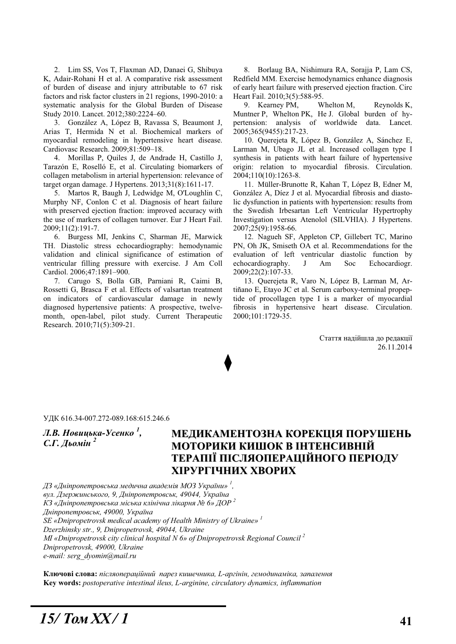2. Lim SS, Vos T, Flaxman AD, Danaei G, Shibuya K, Adair-Rohani H et al. A comparative risk assessment of burden of disease and injury attributable to 67 risk factors and risk factor clusters in 21 regions, 1990-2010: a systematic analysis for the Global Burden of Disease Study 2010. Lancet. 2012;380:2224–60.

3. González A, López B, Ravassa S, Beaumont J, Arias T, Hermida N et al. Biochemical markers of myocardial remodeling in hypertensive heart disease. Cardiovasc Research. 2009;81:509–18.

4. Morillas P, Quiles J, de Andrade H, Castillo J, Tarazón E, Roselló E, et al. Circulating biomarkers of collagen metabolism in arterial hypertension: relevance of target organ damage. J Hypertens. 2013;31(8):1611-17.

5. Martos R, Baugh J, Ledwidge M, O'Loughlin C, Murphy NF, Conlon C et al. Diagnosis of heart failure with preserved ejection fraction: improved accuracy with the use of markers of collagen turnover. Eur J Heart Fail. 2009;11(2):191-7.

6. Burgess MI, Jenkins C, Sharman JE, Marwick TH. Diastolic stress echocardiography: hemodynamic validation and clinical significance of estimation of ventricular filling pressure with exercise. J Am Coll Cardiol. 2006;47:1891–900.

7. Carugo S, Bolla GB, Parniani R, Caimi B, Rossetti G, Brasca F et al. Effects of valsartan treatment on indicators of cardiovascular damage in newly diagnosed hypertensive patients: A prospective, twelvemonth, open-label, pilot study. Current Therapeutic Research. 2010;71(5):309-21.

8. Borlaug BA, Nishimura RA, Sorajja P, Lam CS, Redfield MM. Exercise hemodynamics enhance diagnosis of early heart failure with preserved ejection fraction. Circ Heart Fail. 2010;3(5):588-95.

9. Kearney PM, Whelton M, Reynolds K, Muntner P, Whelton PK, He J. Global burden of hypertension: analysis of worldwide data. Lancet. 2005;365(9455):217-23.

10. Querejeta R, López B, González A, Sánchez E, Larman M, Ubago JL et al. Increased collagen type I synthesis in patients with heart failure of hypertensive origin: relation to myocardial fibrosis. Circulation. 2004;110(10):1263-8.

11. Müller-Brunotte R, Kahan T, López B, Edner M, González A, Díez J et al. Myocardial fibrosis and diastolic dysfunction in patients with hypertension: results from the Swedish Irbesartan Left Ventricular Hypertrophy Investigation versus Atenolol (SILVHIA). J Hypertens. 2007;25(9):1958-66.

12. Nagueh SF, Appleton CP, Gillebert TC, Marino PN, Oh JK, Smiseth OA et al. Recommendations for the evaluation of left ventricular diastolic function by echocardiography. J Am Soc Echocardiogr. 2009;22(2):107-33.

13. Querejeta R, Varo N, López B, Larman M, Artiñano E, Etavo JC et al. Serum carboxy-terminal propeptide of procollagen type I is a marker of myocardial fibrosis in hypertensive heart disease. Circulation. 2000;101:1729-35.

> Стаття надійшла до редакції 26.11.2014

ɍȾɄ 616.34-007.272-089.168:615.246.6

 $J$ **.В. Новицька-Усенко**  $^1$ **,** *С.Г. Льомін*<sup>2</sup>

# МЕДИКАМЕНТОЗНА КОРЕКЦІЯ ПОРУШЕНЬ МОТОРИКИ КИШОК В ІНТЕНСИВНІЙ **ɌȿɊȺɉȱȲ ɉȱɋɅəɈɉȿɊȺɐȱɃɇɈȽɈ ɉȿɊȱɈȾɍ ɏȱɊɍɊȽȱɑɇɂɏ ɏȼɈɊɂɏ**

 $\rm \textit{J3}$  «Дніпропетровська медична академія MO3 України»  $^1$ ,

 $g_{y\pi}$ . Дзержинського, 9, Дніпропетровськ, 49044, Україна

 $K3$  «Дніпропетровська міська клінічна лікарня № 6» ДОР<sup>2</sup>

 $J$ ніпропетровськ, 49000, Україна

*SE «Dnipropetrovsk medical academy of Health Ministry of Ukraine» 1*

*Dzerzhinsky str., 9, Dnipropetrovsk, 49044, Ukraine* 

*MI «Dnipropetrovsk city clinical hospital N 6» of Dnipropetrovsk Regional Council 2*

*Dnipropetrovsk, 49000, Ukraine* 

*e-mail: serg\_dyomin@mail.ru* 

Ключові слова: *післяопераційний парез кишечника*, L-аргінін, гемодинаміка, запалення **Key words:** *postoperative intestinal ileus, L-arginine, circulatory dynamics, inflammation*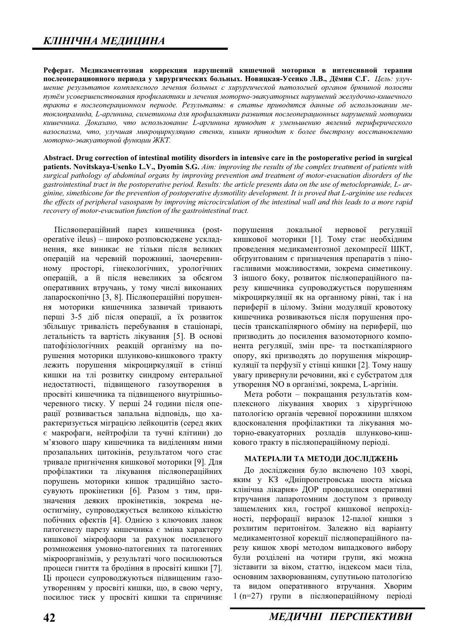Реферат. Медикаментозная коррекция нарушений кишечной моторики в интенсивной терапии послеоперационного периода у хирургических больных. Новицкая-Усенко Л.В., Дёмин С.Г. Цель: улучшение результатов комплексного лечения больных с хирургической патологией органов брюшной полости путём усовершенствования профилактики и лечения моторно-эвакуаторных нарушений желудочно-кишечного тракта в послеоперационном периоде. Результаты: в статье приводятся данные об использовании метоклопрамида, L-аргинина, симетикона для профилактики развития послеоперационных нарушений моторики кишечника. Доказано, что использование L-аргинина приводит к уменьшению явлений периферического вазоспазма, что, улучшая микроциркуляцию стенки, кишки приводит к более быстрому восстановлению  $M^*$ иоторно-эвакуаторной функции ЖКТ.

**Abstract. Drug correction of intestinal motility disorders in intensive care in the postoperative period in surgical patients. Novitskaya-Usenko L.V., Dyomin S.G.** *Aim: improving the results of the complex treatment of patients with surgical pathology of abdominal organs by improving prevention and treatment of motor-evacuation disorders of the gastrointestinal tract in the postoperative period. Results: the article presents data on the use of metoclopramide, L- arginine, simethicone for the prevention of postoperative dysmotility development. It is proved that L-arginine use reduces the effects of peripheral vasospasm by improving microcirculation of the intestinal wall and this leads to a more rapid recovery of motor-evacuation function of the gastrointestinal tract.* 

Післяопераційний парез кишечника (postoperative ileus) – широко розповсюджене ускладнення, яке виникає не тільки після великих операцій на черевній порожнині, заочеревинному просторі, гінекологічних, урологічних операцій, а й після невеликих за обсягом оперативних втручань, у тому числі виконаних лапароскопічно [3, 8]. Післяопераційні порушення моторики кишечника зазвичай тривають перші 3-5 діб після операції, а їх розвиток збільшує тривалість перебування в стаціонарі, летальність та вартість лікування [5]. В основі патофізіологічних реакцій організму на порушення моторики шлунково-кишкового тракту лежить порушення мікроциркуляції в стінці кишки на тлі розвитку синдрому ентеральної недостатності, підвищеного газоутворення в просвіті кишечника та підвищеного внутрішньочеревного тиску. У перші 24 години після операції розвивається запальна відповідь, що характеризується міграцією лейконитів (серед яких є макрофаги, нейтрофіли та тучні клітини) до м'язового шару кишечника та виліленням ними прозапальних цитокінів, результатом чого стає тривале пригнічення кишкової моторики [9]. Для профілактики та лікування післяопераційних порушень моторики кишок традиційно застосувують прокінетики [6]. Разом з тим, призначення деяких прокінетиків, зокрема неостигміну, супроводжується великою кількістю побічних ефектів [4]. Однією з ключових ланок патогенезу парезу кишечника є зміна характеру кишкової мікрофлори за рахунок посиленого розмноження умовно-патогенних та патогенних мікроорганізмів, у результаті чого посилюються процеси гниття та бродіння в просвіті кишки [7]. Ці процеси супроводжуються підвищеним газоутворенням у просвіті кишки, що, в свою чергу, посилює тиск у просвіті кишки та спричиняє

порушення локальної нервової регуляції кишкової моторики [1]. Тому стає необхідним проведення медикаментозної декомпресії ШКТ, обґрунтованим є призначення препаратів з піногасливими можливостями, зокрема симетикону. З іншого боку, розвиток післяопераційного парезу кишечника супроводжується порушенням мікроциркуляції як на органному рівні, так і на периферії в цілому. Зміни модуляції кровотоку кишечника розвиваються після порушення процесів транскапілярного обміну на периферії, що призводить до посилення вазомоторного компонента регуляції, змін пре- та посткапілярного опору, які призводять до порушення мікроциркуляції та перфузії у стінці кишки [2]. Тому нашу увагу привернули речовини, які є субстратом для утворення NO в організмі, зокрема, L-аргінін.

Мета роботи – покращання результатів комплексного лікування хворих з хірургічною патологією органів черевної порожнини шляхом влосконалення профілактики та лікування моторно-евакуаторних розладів шлунково-кишкового тракту в післяопераційному періоді.

#### **МАТЕРІАЛИ ТА МЕТОДИ ДОСЛІДЖЕНЬ**

До дослідження було включено 103 хворі, яким у КЗ «Дніпропетровська шоста міська клінічна лікарня» ДОР проводилися оперативні втручання лапаротомним доступом з приводу защемлених кил, гострої кишкової непрохідності, перфорації виразок 12-палої кишки з розлитим перитонітом. Залежно від варіанту медикаментозної корекції післяопераційного парезу кишок хворі методом випадкового вибору були розділені на чотири групи, які можна зіставити за віком, статтю, індексом маси тіла, основним захворюванням, супутньою патологією та видом оперативного втручання. Хворим  $1$  (n=27) групи в післяопераційному періоді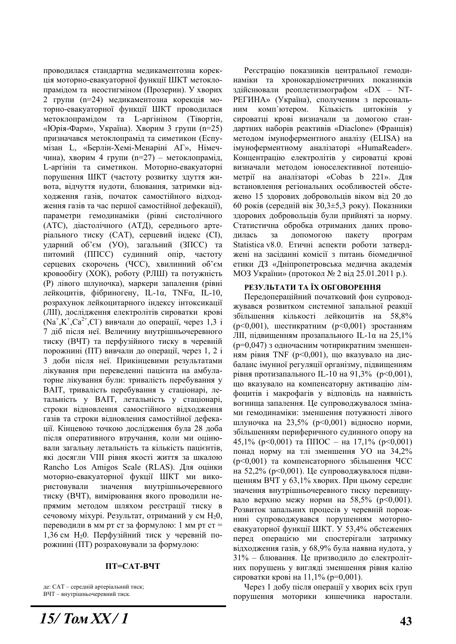проводилася стандартна медикаментозна корекція моторно-евакуаторної функції ШКТ метоклопрамілом та неостигміном (Прозерин). У хворих 2 групи (n=24) медикаментозна корекція моторно-евакуаторної функції ШКТ проводилася метоклопрамідом та L-аргініном (Тівортін, «Юрія-Фарм», Україна). Хворим 3 групи (n=25) призначався метоклопрамід та симетикон (Еспумізан L, «Берлін-Хемі-Менаріні АГ», Німеччина), хворим 4 групи (n=27) – метоклопрамід, L-аргінін та симетикон. Моторно-евакуаторні порушення ШКТ (частоту розвитку здуття живота, відчуття нудоти, блювання, затримки відходження газів, початок самостійного відходження газів та час першої самостійної лефекації). параметри гемодинаміки (рівні систолічного (АТС), діастолічного (АТД), середнього артеріального тиску (САТ), серцевий індекс (СІ), ударний об'єм (УО), загальний (ЗПСС) та питомий (ППСС) судинний опір, частоту серцевих скорочень (ЧСС), хвилинний об'єм кровообігу (ХОК), роботу (РЛШ) та потужність (P) лівого шлуночка), маркери запалення (рівні лейкоцитів, фібриногену, IL-1α, TNFα, IL-10, розрахунок лейкоцитарного індексу інтоксикації (ЛІІ), дослідження електролітів сироватки крові  $(Na^+, K^+, Ca^{2+}, Cl)$  вивчали до операції, через 1,3 і 7 діб після неї. Величину внутрішньочеревного тиску (ВЧТ) та перфузійного тиску в черевній порожнині (ПТ) вивчали до операції, через 1, 2 і 3 доби після неї. Прикінцевими результатами лікування при переведенні пацієнта на амбулаторне лікування були: тривалість перебування у ВАІТ, тривалість перебування у стаціонарі, летальність у ВАІТ, летальність у стаціонарі, строки відновлення самостійного відходження газів та строки відновлення самостійної дефекації. Кінцевою точкою дослідження була 28 доба після оперативного втручання, коли ми оцінювали загальну летальність та кількість пацієнтів, які досягли VIII рівня якості життя за шкалою Rancho Los Amigos Scale (RLAS). Для оцінки моторно-евакуаторної фукції ШКТ ми використовували значення внутрішньочеревного тиску (ВЧТ), вимірювання якого проводили непрямим методом шляхом реєстрації тиску в сечовому міхурі. Результат, отриманий у см  $H_20$ , переводили в мм рт ст за формулою: 1 мм рт ст = 1,36 см  $H_2$ 0. Перфузійний тиск у черевній порожнині (ПТ) розраховували за формулою:

#### $\Pi$ **T=CAT-B4T**

де: САТ – середній артеріальний тиск; ВЧТ – внутрішньочеревний тиск.

*15/ Ɍɨɦ XX / 1* **<sup>43</sup>**

Реєстрацію показників центральної гемодинаміки та хронокардіометричних показників злійснювали реоплетизмографом «DX – NT-РЕГИНА» (Україна), сполученим з персональним комп'ютером. Кількість цитокінів у сироватці крові визначали за домогою стандартних наборів реактивів «Diaclone» (Франція) методом імуноферментного аналізу (ELISA) на iмуноферментному аналiзаторi «HumaReader». Концентрацію електролітів у сироватці крові визначали метолом іоноселективної потенціометрії на аналізаторі «Cobas b 221». Для встановлення регіональних особливостей обстежено 15 здорових добровольців віком від 20 до 60 років (серелній вік  $30.3 \pm 5.3$  року). Показники здорових добровольців були прийняті за норму. Статистична обробка отриманих даних проводилась за допомогою пакету програм Statistica v8.0. Етичні аспекти роботи затверджені на засіданні комісії з питань біомедичної етики ДЗ «Дніпропетровська медична академія МОЗ України» (протокол № 2 від 25.01.2011 р.).

#### РЕЗУЛЬТАТИ ТА ЇХ ОБГОВОРЕННЯ

Передопераційний початковий фон супроводжувався розвитком системної запальної реакції збільшення кількості лейкоцитів на 58,8%  $(p < 0.001)$ , шестикратним  $(p < 0.001)$  зростанням ЛΙΙ, підвищенням прозапального IL-1α на 25,1% (p=0,047) з одночасним чотирикратним зменшенням рівня TNF (p<0,001), що вказувало на дисбаланс імунної регуляції організму, підвищенням рівня протизапального IL-10 на 91,3% (p<0,001), що вказувало на компенсаторну активацію лімфоцитів і макрофагів у відповідь на наявність вогнища запалення. Це супроводжувалося змінами гемодинаміки: зменшення потужності лівого шлуночка на 23,5% ( $p \le 0.001$ ) відносно норми, збільшенням периферичного судинного опору на 45,1% ( $p<0,001$ ) та ППОС – на 17,1% ( $p<0,001$ ) понад норму на тлі зменшення УО на 34,2% ( $p<0.001$ ) та компенсаторного збільшення ЧСС на 52,2% (р<0,001). Це супроводжувалося підвищенням ВЧТ у 63,1% хворих. При цьому середнє значення внутрішньочеревного тиску перевищувало верхню межу норми на 58,5% ( $p<0.001$ ). Розвиток запальних процесів у черевній порожнині супроводжувався порушенням моторноевакуаторної функції ШКТ. У 53,4% обстежених перед операцією ми спостерігали затримку відходження газів, у 68,9% була наявна нудота, у  $31\%$  – блювання. Це призводило до електролітних порушень у вигляді зменшення рівня калію сироватки крові на  $11.1\%$  ( $p=0.001$ ).

Через 1 добу після операції у хворих всіх груп порушення моторики кишечника наростали.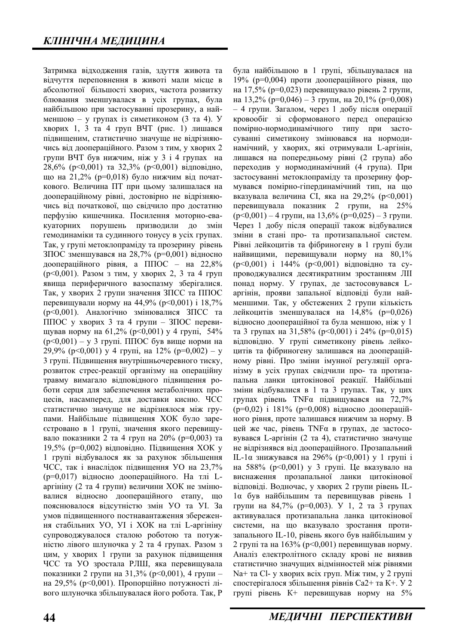Затримка відходження газів, здуття живота та відчуття переповнення в животі мали місце в абсолютної більшості хворих, частота розвитку блювання зменшувалася в усіх групах, була найбільшою при застосуванні прозерину, а найменшою – у групах із симетиконом (3 та 4). У хворих 1, 3 та 4 груп ВЧТ (рис. 1) лишався підвищеним, статистично значуще не відрізняючись від доопераційного. Разом з тим, у хворих 2 групи ВЧТ був нижчим, ніж у 3 і 4 групах на  $28.6\%$  ( $p<0.001$ ) та  $32.3\%$  ( $p<0.001$ ) вілповілно. що на 21,2% ( $p=0,018$ ) було нижчим від початкового. Величина ПТ при цьому залишалася на доопераційному рівні, достовірно не відрізняючись віл початкової, що свілчило про лостатню перфузію кишечника. Посилення моторно-евакуаторних порушень призводили до змін гемодинаміки та судинного тонусу в усіх групах. Так, у групі метоклопраміду та прозерину рівень ЗПОС зменшувався на 28,7% ( $p=0,001$ ) відносно доопераційного рівня, а ППОС – на 22,8%  $(p<0.001)$ . Разом з тим, у хворих 2, 3 та 4 груп явища периферичного вазоспазму зберігалися. Так, у хворих 2 групи значення ЗПСС та ППОС перевищували норму на 44,9% ( $p<0,001$ ) і 18,7% ( $p<0,001$ ). Аналогічно змінювалися ЗПСС та ППОС у хворих 3 та 4 групи –  $3\text{TOC}$  перевищував норму на 61,2% (p<0,001) у 4 групі, 54%  $(p<0,001) - y$  3 групі. ППОС був вище норми на 29,9% ( $p<0,001$ ) y 4 rpyni,  $\text{Ha } 12\%$  ( $p=0,002$ ) – y 3 групі. Підвищення внутрішньочеревного тиску, розвиток стрес-реакції організму на операційну травму вимагало відповідного підвищення роботи серця для забезпечення метаболічних процесів, насамперед, для доставки кисню. ЧСС статистично значуще не відрізнялося між групами. Найбільше підвищення ХОК було зареєстровано в 1 групі, значення якого перевищувало показники 2 та 4 груп на 20% ( $p=0,003$ ) та 19,5% (р=0,002) відповідно. Підвищення ХОК у 1 групі відбувалося як за рахунок збільшення ЧСС, так і внаслідок підвищення УО на 23,7%  $(p=0.017)$  відносно доопераційного. На тлі Lаргініну (2 та 4 групи) величини ХОК не змінювалися відносно доопераційного етапу, що пояснювалося відсутністю змін УО та УІ. За умов підвищенного постнавантаження збереження стабільних УО, УІ і ХОК на тлі L-аргініну супроводжувалося сталою роботою та потужністю лівого шлуночка у 2 та 4 групах. Разом з цим, у хворих 1 групи за рахунок підвищення ЧСС та УО зростала РЛШ, яка перевищувала показники 2 групи на 31,3% ( $p<0,001$ ), 4 групи – на 29,5% ( $p$ <0,001). Пропорційно потужності лівого шлуночка збільшувалася його робота. Так, Р

була найбільшою в 1 групі, збільшувалася на  $19\%$  (p=0,004) проти доопераційного рівня, що на 17,5% ( $p=0.023$ ) перевишувало рівень 2 групи. на 13,2% (р=0,046) – 3 групи, на 20,1% (р=0,008)  $-4$  групи. Загалом, через 1 добу після операції кровообіг зі сформованого перед операцією помірно-нормодинамічного типу при застосуванні симетикону змінювався на нормодинамічний, у хворих, які отримували L-аргінін, лишався на попередньому рівні (2 група) або переходив у нормодинамічний (4 група). При застосуванні метоклопраміду та прозерину формувався помірно-гіпердинамічний тип, на що вказувала величина СІ, яка на 29,2% ( $p<0,001$ ) перевищувала показник 2 групи, на 25%  $(p<0,001) - 4$  групи, на 13,6% ( $p=0,025$ ) – 3 групи. Через 1 добу після операції також відбувалися зміни в стані про- та протизапальної систем. Рівні лейкоцитів та фібриногену в 1 групі були найвищими, перевищували норму на  $80,1\%$  $(p<0.001)$  i 144%  $(p<0.001)$  відповідно та супроводжувалися десятикратним зростанням ЛII понад норму. У групах, де застосовувався Lаргінін, прояви запальної відповіді були найменшими. Так, у обстежених 2 групи кількість лейкоцитів зменшувалася на 14,8% (р=0,026) відносно доопераційної та була меншою, ніж у 1 та 3 групах на 31,58% ( $p<0,001$ ) і 24% ( $p=0,015$ ) відповідно. У групі симетикону рівень лейкоцитів та фібриногену залишався на доопераційному рівні. Про зміни імунної регуляції організму в усіх групах свідчили про- та протизапальна ланки цитокінової реакції. Найбільші зміни відбувалися в 1 та 3 групах. Так, у цих групах рівень ТΝFα підвищувався на 72,7%  $(p=0.02)$  і 181% (р=0.008) відносно доопераційного рівня, проте залишався нижчим за норму. В цей же час, рівень ТNF $\alpha$  в групах, де застосовувався L-аргінін (2 та 4), статистично значуще не відрізнявся від доопераційного. Прозапальний IL-1 $\alpha$  знижувався на 296% ( $p \le 0.001$ ) у 1 групі і на 588% ( $p<0.001$ ) у 3 групі. Це вказувало на виснаження прозапальної ланки цитокінової відповіді. Водночас, у хворих 2 групи рівень IL- $1\alpha$  був найбільшим та перевищував рівень 1 групи на 84,7% ( $p=0,003$ ). У 1, 2 та 3 групах активувалася протизапальна ланка цитокінової системи, на що вказувало зростання протизапального IL-10, рівень якого був найбільшим у 2 групі та на  $163%$  ( $p<0,001$ ) перевищував норму. Аналіз електролітного складу крові не виявив статистично значущих відмінностей між рівнями  $Na+$  та Cl- у хворих всіх груп. Між тим, у 2 групі спостерігалося збільшення рівнів  $Ca2+$ та К $+$ . У 2 групі рівень К+ перевищував норму на 5%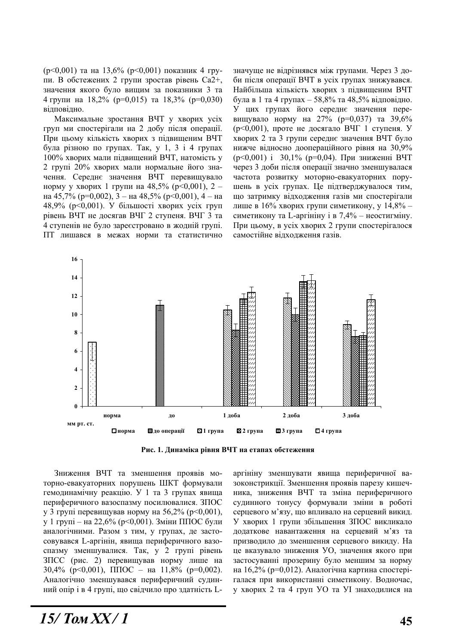$(p<0,001)$  та на 13,6%  $(p<0,001)$  показник 4 групи. В обстежених 2 групи зростав рівень Са2+, значення якого було вишим за показники 3 та 4 групи на 18,2% ( $p=0,015$ ) та 18,3% ( $p=0,030$ ) відповідно.

Максимальне зростання ВЧТ у хворих усіх груп ми спостерігали на 2 добу після операції. При цьому кількість хворих з підвищеним ВЧТ була різною по групах. Так, у 1, 3 і 4 групах 100% хворих мали підвищений ВЧТ, натомість у 2 групі 20% хворих мали нормальне його значення. Середнє значення ВЧТ перевищувало норму у хворих 1 групи на 48,5% ( $p<0,001$ ), 2 – на 45,7% (р=0,002), 3 – на 48,5% (р<0,001), 4 – на 48,9% (р<0,001). У більшості хворих усіх груп рівень ВЧТ не досягав ВЧГ 2 ступеня. ВЧГ 3 та 4 ступенів не було зареєстровано в жодній групі. ПТ лишався в межах норми та статистично значуще не відрізнявся між групами. Через 3 доби після операції ВЧТ в усіх групах знижувався. Найбільша кількість хворих з пілвишеним ВЧТ була в 1 та 4 групах – 58,8% та 48,5% відповідно. У цих групах його середнє значення перевищувало норму на 27% ( $p=0,037$ ) та 39,6%  $(p<0.001)$ , проте не досягало ВЧГ 1 ступеня. У хворих 2 та 3 групи середнє значення ВЧТ було нижче відносно доопераційного рівня на 30,9%  $(p<0,001)$  i 30,1% ( $p=0,04$ ). При зниженні ВЧТ через 3 доби після операції значно зменшувалася частота розвитку моторно-евакуаторних порушень в усіх групах. Це підтверджувалося тим, що затримку відходження газів ми спостерігали лише в 16% хворих групи симетикону, у 14,8% – симетикону та L-аргініну і в 7,4% – неостигміну. При цьому, в усіх хворих 2 групи спостерігалося самостійне відходження газів.



Рис. 1. Динаміка рівня ВЧТ на етапах обстеження

Зниження ВЧТ та зменшення проявів моторно-евакуаторних порушень ШКТ формували гемодинамічну реакцію. У 1 та 3 групах явища периферичного вазоспазму посилювалися. ЗПОС у 3 групі перевищував норму на 56,2% ( $p<0,001$ ), у 1 групі – на 22,6% (р<0,001). Зміни ППОС були аналогічними. Разом з тим, у групах, де застосовувався L-аргінін, явища периферичного вазоспазму зменшувалися. Так, у 2 групі рівень ЗПСС (рис. 2) перевищував норму лише на 30,4% ( $p<0,001$ ),  $\Pi \Pi O C$  –  $\Pi$  11,8% ( $p=0,002$ ). Аналогічно зменшувався периферичний судинний опір і в 4 групі, що свідчило про здатність L- аргініну зменшувати явища периферичної вазоконстрикції. Зменшення проявів парезу кишечника, зниження ВЧТ та зміна периферичного судинного тонусу формували зміни в роботі серцевого м'язу, що впливало на серцевий викид. У хворих 1 групи збільшення ЗПОС викликало додаткове навантаження на серцевий м'яз та призводило до зменшення серцевого викиду. На це вказувало зниження УО, значення якого при застосуванні прозерину було меншим за норму на 16,2% (р=0,012). Аналогічна картина спостерігалася при використанні симетикону. Водночас, у хворих 2 та 4 груп УО та УI знаходилися на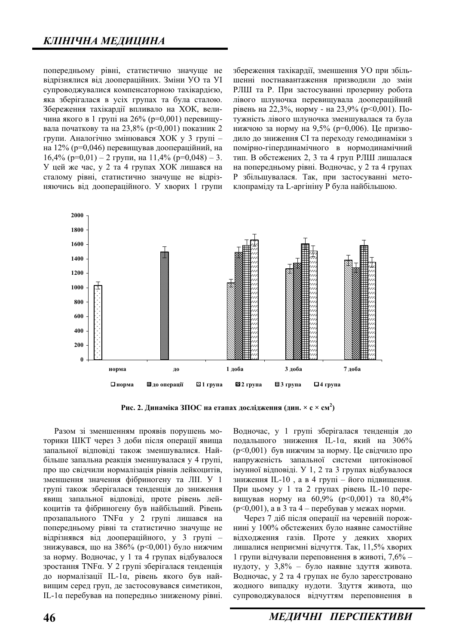попередньому рівні, статистично значуще не відрізнялися від доопераційних. Зміни УО та УІ супроводжувалися компенсаторною тахікардією. яка зберігалася в усіх групах та була сталою. Збереження тахікардії впливало на ХОК, величина якого в 1 групі на 26% (р=0,001) перевищувала початкову та на 23,8% ( $p$ <0,001) показник 2 групи. Аналогічно змінювався ХОК у 3 групі на 12% ( $p=0.046$ ) перевищував доопераційний, на  $16,4\%$  ( $p=0,01$ ) – 2 групи, на  $11,4\%$  ( $p=0,048$ ) – 3. У цей же час, у 2 та 4 групах ХОК лишався на сталому рівні, статистично значуще не відрізняючись від доопераційного. У хворих 1 групи

збереження тахікардії, зменшення УО при збільшенні постнавантаження призводили до змін РЛШ та Р. При застосуванні прозерину робота лівого шлуночка перевищувала доопераційний рівень на 22,3%, норму - на 23,9% (р<0,001). Потужність лівого шлуночка зменшувалася та була нижчою за норму на 9,5% ( $p=0,006$ ). Це призводило до зниження СІ та переходу гемодинаміки з помірно-гіпердинамічного в нормодинамічний тип. В обстежених 2, 3 та 4 груп РЛШ лишалася на попередньому рівні. Водночас, у 2 та 4 групах Р збільшувалася. Так, при застосуванні метоклопраміду та L-аргініну Р була найбільшою.



Рис. 2. Динаміка ЗПОС на етапах дослідження (дин. × с × см<sup>2</sup>)

Разом зі зменшенням проявів порушень моторики ШКТ через 3 лоби після операції явища запальної відповіді також зменшувалися. Найбільше запальна реакція зменшувалася у 4 групі, про що свідчили нормалізація рівнів лейкоцитів, зменшення значення фібриногену та ЛІІ. У 1 групі також зберігалася тенденція до зниження явищ запальної відповіді, проте рівень лейкошитів та фібриногену був найбільший. Рівень прозапального ТΝFα у 2 групі лишався на попередньому рівні та статистично значуще не відрізнявся від доопераційного, у 3 групі – знижувався, що на  $386\%$  ( $p<0,001$ ) було нижчим за норму. Водночас, у 1 та 4 групах відбувалося зростання ТΝFα. У 2 групі зберігалася тенденція до нормалізації IL-1 $\alpha$ , рівень якого був найвищим серед груп, де застосовувався симетикон, IL-1α перебував на попередньо зниженому рівні. Водночас, у 1 групі зберігалася тенденція до подальшого зниження IL-1 $\alpha$ , який на 306%  $(p<0.001)$  був нижчим за норму. Це свідчило про напруженість запальної системи цитокінової імунної відповіді. У 1, 2 та 3 групах відбувалося зниження IL-10, а в 4 групі – його підвищення. При цьому у 1 та 2 групах рівень IL-10 перевищував норму на  $60,9\%$  ( $p<0,001$ ) та  $80,4\%$  $(p<0.001)$ , а в 3 та 4 – перебував у межах норми.

Через 7 діб після операції на черевній порожнині у 100% обстежених було наявне самостійне відходження газів. Проте у деяких хворих лишалися неприємні відчуття. Так, 11,5% хворих 1 групи відчували переповнення в животі, 7,6% – нудоту, у  $3,8\%$  – було наявне здуття живота. Водночас, у 2 та 4 групах не було зареєстровано жодного випадку нудоти. Здуття живота, що супроводжувалося відчуттям переповнення в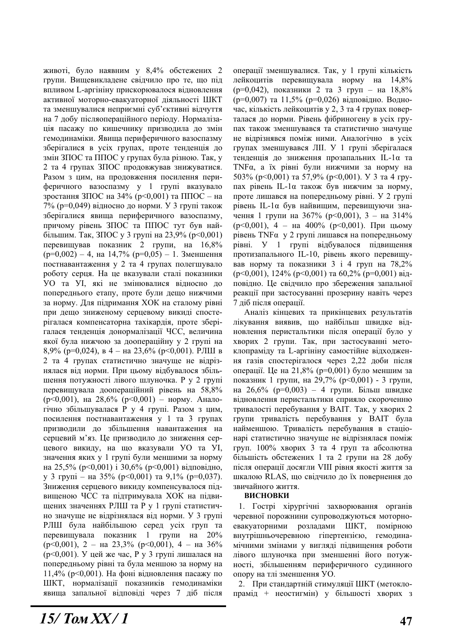животі, було наявним у 8,4% обстежених 2 групи. Вищевикладене свідчило про те, що під впливом L-аргініну прискорювалося вілновлення активної моторно-евакуаторної діяльності ШКТ та зменшувалися неприємні суб'єктивні відчуття на 7 добу післяопераційного періоду. Нормалізація пасажу по кишечнику призводила до змін гемодинаміки. Явища периферичного вазоспазму зберігалися в усіх групах, проте тенденція до змін ЗПОС та ППОС у групах була різною. Так, у 2 та 4 групах ЗПОС продовжував знижуватися. Разом з цим, на продовження посилення периферичного вазоспазму у 1 групі вказувало зростання ЗПОС на 34% (р<0,001) та ППОС – на  $7\%$  (p=0,049) відносно до норми. У 3 групі також зберігалися явища периферичного вазоспазму, причому рівень ЗПОС та ППОС тут був найбільшим. Так, ЗПОС у 3 групі на 23,9% (р<0,001) перевищував показник 2 групи, на 16,8%  $(p=0,002) - 4$ , на 14,7%  $(p=0,05) - 1$ . Зменшення постнавантаження у 2 та 4 групах полегшувало роботу серця. На це вказували сталі показники УО та УІ, які не змінювалися відносно до попереднього етапу, проте були дещо нижчими за норму. Для підримання ХОК на сталому рівні при дещо зниженому серцевому викиді спостерігалася компенсаторна тахікардія, проте зберігалася тенденція донормалізації ЧСС, величина якої була нижчою за доопераційну у 2 групі на 8,9% (р=0,024), в 4 – на 23,6% (р<0,001). РЛШ в 2 та 4 групах статистично значуще не відрізнялася від норми. При цьому відбувалося збільшення потужності лівого шлуночка. Р у 2 групі перевищувала доопераційний рівень на 58,8% ( $p<0.001$ ), на 28,6% ( $p<0.001$ ) – норму. Аналогічно збільшувалася Р у 4 групі. Разом з цим, посилення постнавантаження у 1 та 3 групах призводили до збільшення навантаження на серцевий м'яз. Це призводило до зниження серцевого викиду, на що вказували УО та УI, значення яких у 1 групі були меншими за норму на 25,5% ( $p<0,001$ ) і 30,6% ( $p<0,001$ ) відповідно, у 3 групі – на 35% ( $p<0,001$ ) та 9,1% ( $p=0,037$ ). Зниження серцевого викиду компенсувалося підвищеною ЧСС та підтримувала ХОК на підвищених значеннях РЛШ та Р у 1 групі статистично значуще не відрізнялася від норми. У 3 групі РЛШ була найбільшою серед усіх груп та перевищувала показник 1 групи на 20%  $(p<0,001)$ , 2 – на 23,3%  $(p<0,001)$ , 4 – на 36% ( $p<0,001$ ). У цей же час, Р у 3 групі лишалася на попередньому рівні та була меншою за норму на  $11,4\%$  (p<0,001). На фоні відновлення пасажу по ШКТ, нормалізації показників гемодинаміки явища запальної відповіді через 7 діб після операції зменшувалися. Так, у 1 групі кількість лейкоцитів перевищувала норму на 14,8%  $(p=0,042)$ , показники 2 та 3 груп – на 18.8%  $(p=0,007)$  та 11,5% ( $p=0,026$ ) відповідно. Водночас, кількість лейкоцитів у 2, 3 та 4 групах поверталася до норми. Рівень фібриногену в усіх групах також зменшувався та статистично значуще не відрізнявся поміж ними. Аналогічно в усіх групах зменшувався ЛІІ. У 1 групі зберігалася тенденція до зниження прозапальних IL-1α та TNFα, а їх рівні були нижчими за норму на 503% ( $p<0,001$ ) ta 57,9% ( $p<0,001$ ).  $\vee$  3 ta 4 rpyпах рівень IL-1 $\alpha$  також був нижчим за норму, проте лишався на попередньому рівні. У 2 групі рівень IL-1α був найвищим, перевищуючи значення 1 групи на  $367\%$  ( $p<0,001$ ),  $3$  – на  $314\%$  $(p<0,001)$ , 4 – на 400%  $(p<0,001)$ . При цьому  $pi$ вень TNF $\alpha$  у 2 групі лишався на попередньому рівні. У 1 групі відбувалося підвищення протизапального IL-10, рівень якого перевищував норму та показники  $3$  i 4 груп на  $78.2\%$  $(p<0.001)$ , 124%  $(p<0.001)$  ra 60,2%  $(p=0.001)$   $\overline{Bi}$ повідно. Це свідчило про збереження запальної реакції при застосуванні прозерину навіть через 7 ліб після операції.

Аналіз кінцевих та прикінцевих результатів лікування виявив, що найбільш швидке відновлення перистальтики після операції було у хворих 2 групи. Так, при застосуванні метоклопраміду та L-аргініну самостійне відходження газів спостерігалося через 2,22 доби після операції. Це на 21,8% (р=0,001) було меншим за показник 1 групи, на 29,7% ( $p \le 0.001$ ) - 3 групи, на 26,6% (р=0,003) – 4 групи. Більш швидке відновлення перистальтики сприяло скороченню тривалості перебування у ВАІТ. Так, у хворих 2 групи тривалість перебування у ВАІТ була найменшою. Тривалість перебування в стаціонарі статистично значуще не відрізнялася поміж груп. 100% хворих 3 та 4 груп та абсолютна більшість обстежених 1 та 2 групи на 28 добу після операції досягли VIII рівня якості життя за шкалою RLAS, що свідчило до їх повернення до звичайного життя.

## **ВИСНОВКИ**

1. Гострі хірургічні захворювання органів черевної порожнини супроводжуються моторноевакуаторними розладами ШКТ, помірною внутрішньочеревною гіпертензією, гемодинамічними змінами у вигляді підвищення роботи лівого шлуночка при зменшенні його потужності, збільшенням периферичного судинного опору на тлі зменшення УО.

2. При стандартній стимуляції ШКТ (метоклопрамід + неостигмін) у більшості хворих з